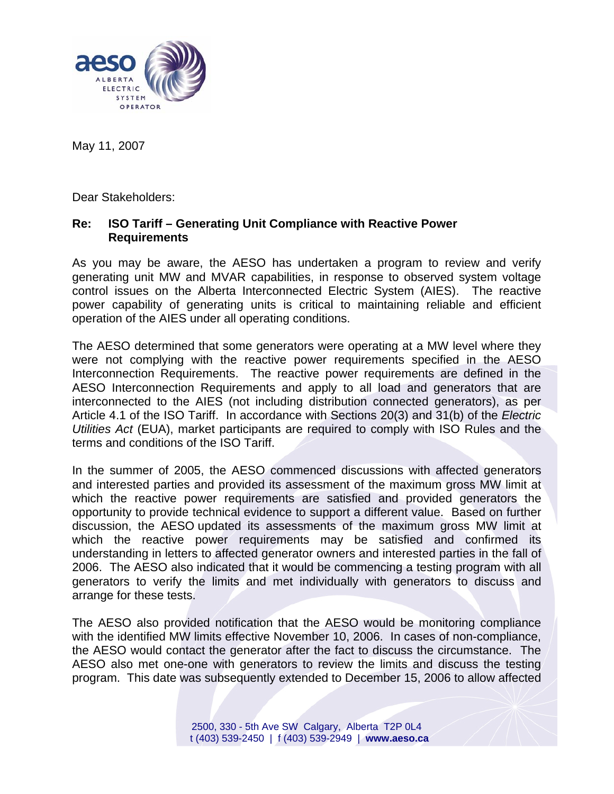

May 11, 2007

Dear Stakeholders:

## **Re: ISO Tariff – Generating Unit Compliance with Reactive Power Requirements**

As you may be aware, the AESO has undertaken a program to review and verify generating unit MW and MVAR capabilities, in response to observed system voltage control issues on the Alberta Interconnected Electric System (AIES). The reactive power capability of generating units is critical to maintaining reliable and efficient operation of the AIES under all operating conditions.

The AESO determined that some generators were operating at a MW level where they were not complying with the reactive power requirements specified in the AESO Interconnection Requirements. The reactive power requirements are defined in the AESO Interconnection Requirements and apply to all load and generators that are interconnected to the AIES (not including distribution connected generators), as per Article 4.1 of the ISO Tariff. In accordance with Sections 20(3) and 31(b) of the *Electric Utilities Act* (EUA), market participants are required to comply with ISO Rules and the terms and conditions of the ISO Tariff.

In the summer of 2005, the AESO commenced discussions with affected generators and interested parties and provided its assessment of the maximum gross MW limit at which the reactive power requirements are satisfied and provided generators the opportunity to provide technical evidence to support a different value. Based on further discussion, the AESO updated its assessments of the maximum gross MW limit at which the reactive power requirements may be satisfied and confirmed its understanding in letters to affected generator owners and interested parties in the fall of 2006. The AESO also indicated that it would be commencing a testing program with all generators to verify the limits and met individually with generators to discuss and arrange for these tests.

The AESO also provided notification that the AESO would be monitoring compliance with the identified MW limits effective November 10, 2006. In cases of non-compliance, the AESO would contact the generator after the fact to discuss the circumstance. The AESO also met one-one with generators to review the limits and discuss the testing program. This date was subsequently extended to December 15, 2006 to allow affected

> 2500, 330 - 5th Ave SW Calgary, Alberta T2P 0L4 t (403) 539-2450 | f (403) 539-2949 | **www.aeso.ca**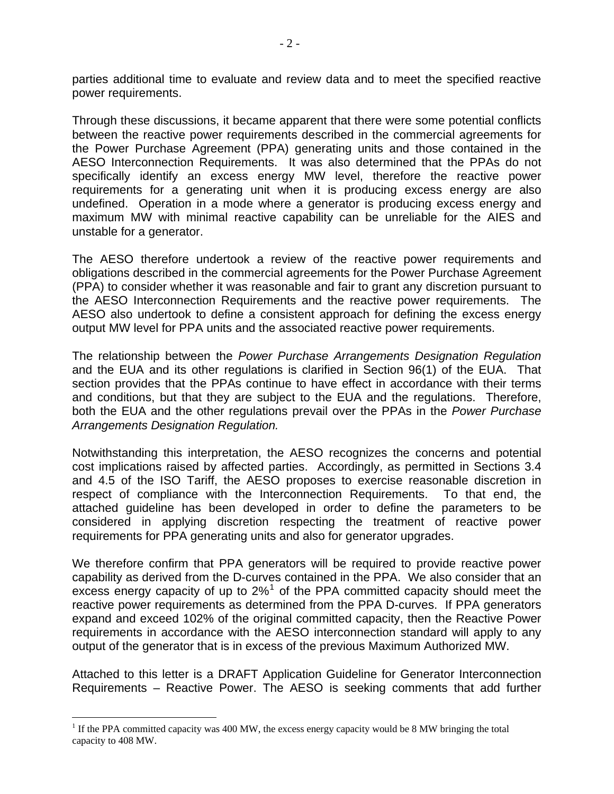parties additional time to evaluate and review data and to meet the specified reactive power requirements.

Through these discussions, it became apparent that there were some potential conflicts between the reactive power requirements described in the commercial agreements for the Power Purchase Agreement (PPA) generating units and those contained in the AESO Interconnection Requirements. It was also determined that the PPAs do not specifically identify an excess energy MW level, therefore the reactive power requirements for a generating unit when it is producing excess energy are also undefined. Operation in a mode where a generator is producing excess energy and maximum MW with minimal reactive capability can be unreliable for the AIES and unstable for a generator.

The AESO therefore undertook a review of the reactive power requirements and obligations described in the commercial agreements for the Power Purchase Agreement (PPA) to consider whether it was reasonable and fair to grant any discretion pursuant to the AESO Interconnection Requirements and the reactive power requirements. The AESO also undertook to define a consistent approach for defining the excess energy output MW level for PPA units and the associated reactive power requirements.

The relationship between the *Power Purchase Arrangements Designation Regulation* and the EUA and its other regulations is clarified in Section 96(1) of the EUA. That section provides that the PPAs continue to have effect in accordance with their terms and conditions, but that they are subject to the EUA and the regulations. Therefore, both the EUA and the other regulations prevail over the PPAs in the *Power Purchase Arrangements Designation Regulation.*

Notwithstanding this interpretation, the AESO recognizes the concerns and potential cost implications raised by affected parties. Accordingly, as permitted in Sections 3.4 and 4.5 of the ISO Tariff, the AESO proposes to exercise reasonable discretion in respect of compliance with the Interconnection Requirements. To that end, the attached guideline has been developed in order to define the parameters to be considered in applying discretion respecting the treatment of reactive power requirements for PPA generating units and also for generator upgrades.

We therefore confirm that PPA generators will be required to provide reactive power capability as derived from the D-curves contained in the PPA. We also consider that an excess energy capacity of up to  $2\%$ <sup>[1](#page-1-0)</sup> of the PPA committed capacity should meet the reactive power requirements as determined from the PPA D-curves. If PPA generators expand and exceed 102% of the original committed capacity, then the Reactive Power requirements in accordance with the AESO interconnection standard will apply to any output of the generator that is in excess of the previous Maximum Authorized MW.

Attached to this letter is a DRAFT Application Guideline for Generator Interconnection Requirements – Reactive Power. The AESO is seeking comments that add further

 $\overline{a}$ 

<span id="page-1-0"></span> $1$  If the PPA committed capacity was 400 MW, the excess energy capacity would be 8 MW bringing the total capacity to 408 MW.